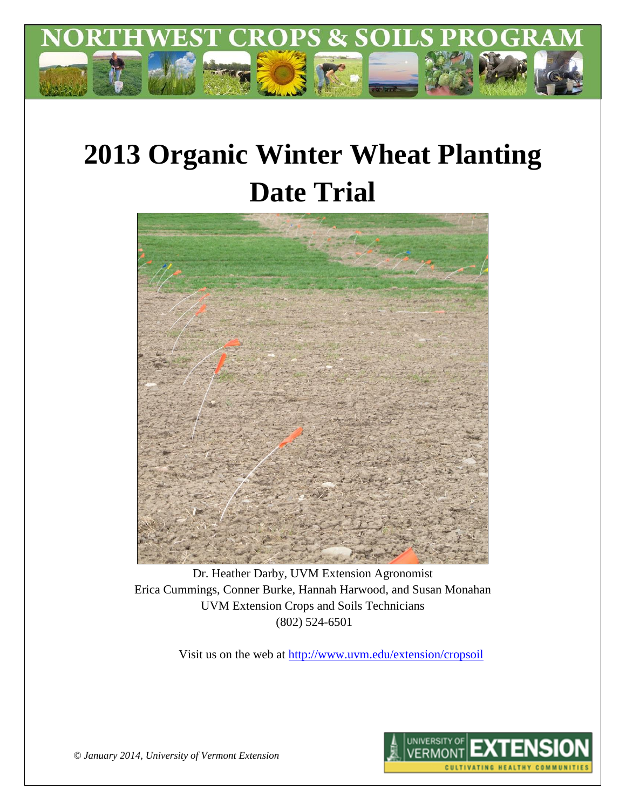

# **2013 Organic Winter Wheat Planting Date Trial**



Dr. Heather Darby, UVM Extension Agronomist Erica Cummings, Conner Burke, Hannah Harwood, and Susan Monahan UVM Extension Crops and Soils Technicians (802) 524-6501

Visit us on the web at<http://www.uvm.edu/extension/cropsoil>



*© January 2014, University of Vermont Extension*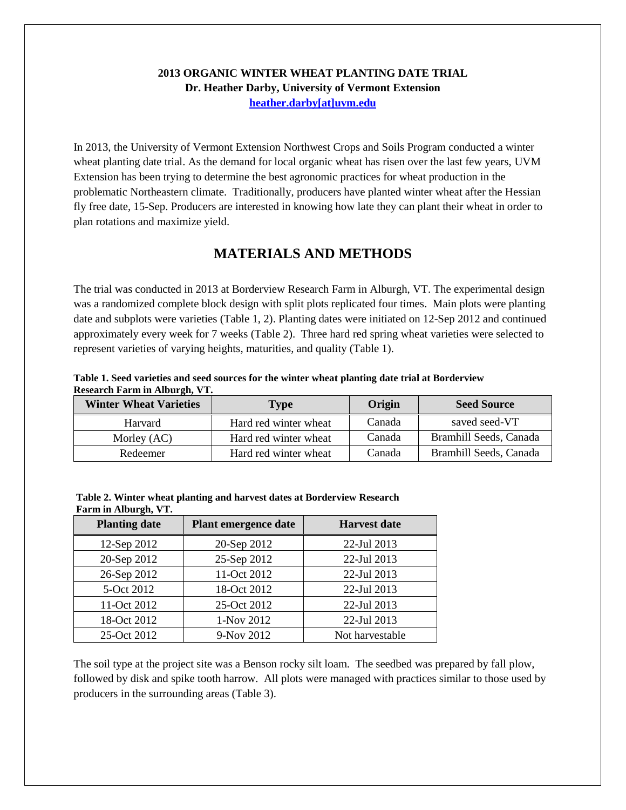### **2013 ORGANIC WINTER WHEAT PLANTING DATE TRIAL Dr. Heather Darby, University of Vermont Extension [heather.darby\[at\]uvm.edu](mailto:hdarby@uvm.edu?subject=2012%20Winter%20Wheat%20Planting%20Date)**

In 2013, the University of Vermont Extension Northwest Crops and Soils Program conducted a winter wheat planting date trial. As the demand for local organic wheat has risen over the last few years, UVM Extension has been trying to determine the best agronomic practices for wheat production in the problematic Northeastern climate. Traditionally, producers have planted winter wheat after the Hessian fly free date, 15-Sep. Producers are interested in knowing how late they can plant their wheat in order to plan rotations and maximize yield.

# **MATERIALS AND METHODS**

The trial was conducted in 2013 at Borderview Research Farm in Alburgh, VT. The experimental design was a randomized complete block design with split plots replicated four times. Main plots were planting date and subplots were varieties (Table 1, 2). Planting dates were initiated on 12-Sep 2012 and continued approximately every week for 7 weeks (Table 2). Three hard red spring wheat varieties were selected to represent varieties of varying heights, maturities, and quality (Table 1).

| Table 1. Seed varieties and seed sources for the winter wheat planting date trial at Borderview |  |
|-------------------------------------------------------------------------------------------------|--|
| Research Farm in Alburgh, VT.                                                                   |  |

| <b>Winter Wheat Varieties</b> | Type                  | Origin | <b>Seed Source</b>     |
|-------------------------------|-----------------------|--------|------------------------|
| Harvard                       | Hard red winter wheat | Canada | saved seed-VT          |
| Morley (AC)                   | Hard red winter wheat | Canada | Bramhill Seeds, Canada |
| Redeemer                      | Hard red winter wheat | Canada | Bramhill Seeds, Canada |

| Table 2. Winter wheat planting and harvest dates at Borderview Research |  |
|-------------------------------------------------------------------------|--|
| Farm in Alburgh, VT.                                                    |  |

| <b>Planting date</b> | Plant emergence date | <b>Harvest date</b> |
|----------------------|----------------------|---------------------|
| 12-Sep 2012          | 20-Sep 2012          | 22-Jul 2013         |
| 20-Sep 2012          | 25-Sep 2012          | 22-Jul 2013         |
| 26-Sep 2012          | 11-Oct 2012          | 22-Jul 2013         |
| 5-Oct 2012           | 18-Oct 2012          | 22-Jul 2013         |
| 11-Oct 2012          | 25-Oct 2012          | 22-Jul 2013         |
| 18-Oct 2012          | 1-Nov 2012           | 22-Jul 2013         |
| 25-Oct 2012          | 9-Nov 2012           | Not harvestable     |

The soil type at the project site was a Benson rocky silt loam. The seedbed was prepared by fall plow, followed by disk and spike tooth harrow. All plots were managed with practices similar to those used by producers in the surrounding areas (Table 3).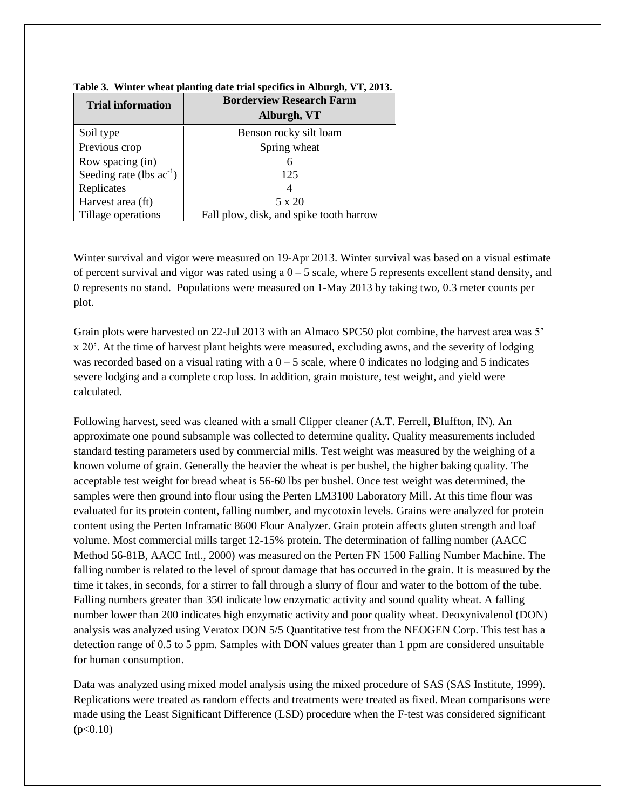| <b>Trial information</b>      | <b>Borderview Research Farm</b>         |
|-------------------------------|-----------------------------------------|
|                               | Alburgh, VT                             |
| Soil type                     | Benson rocky silt loam                  |
| Previous crop                 | Spring wheat                            |
| Row spacing (in)              | 6                                       |
| Seeding rate (lbs $ac^{-1}$ ) | 125                                     |
| Replicates                    |                                         |
| Harvest area (ft)             | 5 x 20                                  |
| Tillage operations            | Fall plow, disk, and spike tooth harrow |

|  | Table 3. Winter wheat planting date trial specifics in Alburgh, VT, 2013. |  |  |  |  |
|--|---------------------------------------------------------------------------|--|--|--|--|
|--|---------------------------------------------------------------------------|--|--|--|--|

Winter survival and vigor were measured on 19-Apr 2013. Winter survival was based on a visual estimate of percent survival and vigor was rated using a  $0 - 5$  scale, where 5 represents excellent stand density, and 0 represents no stand. Populations were measured on 1-May 2013 by taking two, 0.3 meter counts per plot.

Grain plots were harvested on 22-Jul 2013 with an Almaco SPC50 plot combine, the harvest area was 5' x 20'. At the time of harvest plant heights were measured, excluding awns, and the severity of lodging was recorded based on a visual rating with a  $0 - 5$  scale, where 0 indicates no lodging and 5 indicates severe lodging and a complete crop loss. In addition, grain moisture, test weight, and yield were calculated.

Following harvest, seed was cleaned with a small Clipper cleaner (A.T. Ferrell, Bluffton, IN). An approximate one pound subsample was collected to determine quality. Quality measurements included standard testing parameters used by commercial mills. Test weight was measured by the weighing of a known volume of grain. Generally the heavier the wheat is per bushel, the higher baking quality. The acceptable test weight for bread wheat is 56-60 lbs per bushel. Once test weight was determined, the samples were then ground into flour using the Perten LM3100 Laboratory Mill. At this time flour was evaluated for its protein content, falling number, and mycotoxin levels. Grains were analyzed for protein content using the Perten Inframatic 8600 Flour Analyzer. Grain protein affects gluten strength and loaf volume. Most commercial mills target 12-15% protein. The determination of falling number (AACC Method 56-81B, AACC Intl., 2000) was measured on the Perten FN 1500 Falling Number Machine. The falling number is related to the level of sprout damage that has occurred in the grain. It is measured by the time it takes, in seconds, for a stirrer to fall through a slurry of flour and water to the bottom of the tube. Falling numbers greater than 350 indicate low enzymatic activity and sound quality wheat. A falling number lower than 200 indicates high enzymatic activity and poor quality wheat. Deoxynivalenol (DON) analysis was analyzed using Veratox DON 5/5 Quantitative test from the NEOGEN Corp. This test has a detection range of 0.5 to 5 ppm. Samples with DON values greater than 1 ppm are considered unsuitable for human consumption.

Data was analyzed using mixed model analysis using the mixed procedure of SAS (SAS Institute, 1999). Replications were treated as random effects and treatments were treated as fixed. Mean comparisons were made using the Least Significant Difference (LSD) procedure when the F-test was considered significant  $(p<0.10)$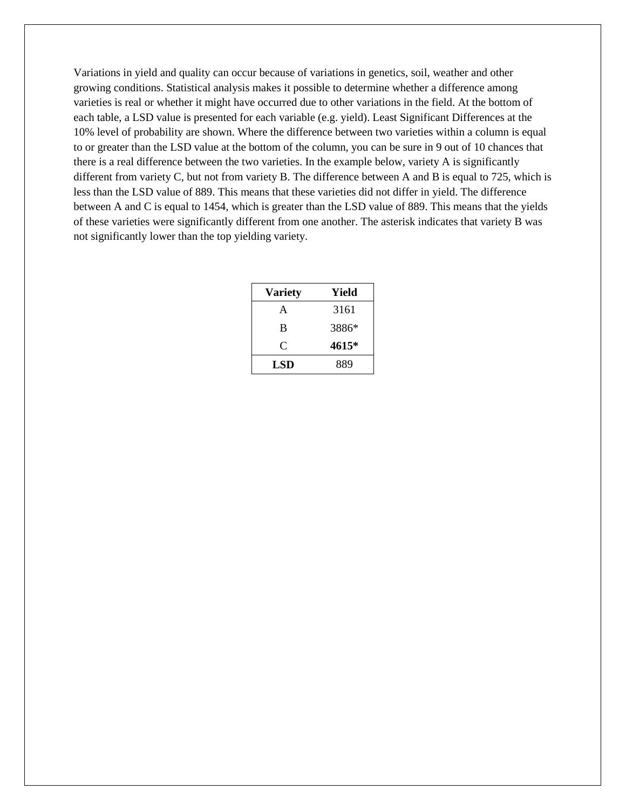Variations in yield and quality can occur because of variations in genetics, soil, weather and other growing conditions. Statistical analysis makes it possible to determine whether a difference among varieties is real or whether it might have occurred due to other variations in the field. At the bottom of each table, a LSD value is presented for each variable (e.g. yield). Least Significant Differences at the 10% level of probability are shown. Where the difference between two varieties within a column is equal to or greater than the LSD value at the bottom of the column, you can be sure in 9 out of 10 chances that there is a real difference between the two varieties. In the example below, variety A is significantly different from variety C, but not from variety B. The difference between A and B is equal to 725, which is less than the LSD value of 889. This means that these varieties did not differ in yield. The difference between A and C is equal to 1454, which is greater than the LSD value of 889. This means that the yields of these varieties were significantly different from one another. The asterisk indicates that variety B was not significantly lower than the top yielding variety.

| <b>Variety</b> | Yield |
|----------------|-------|
| A              | 3161  |
| B              | 3886* |
| C              | 4615* |
| LSD            | 889   |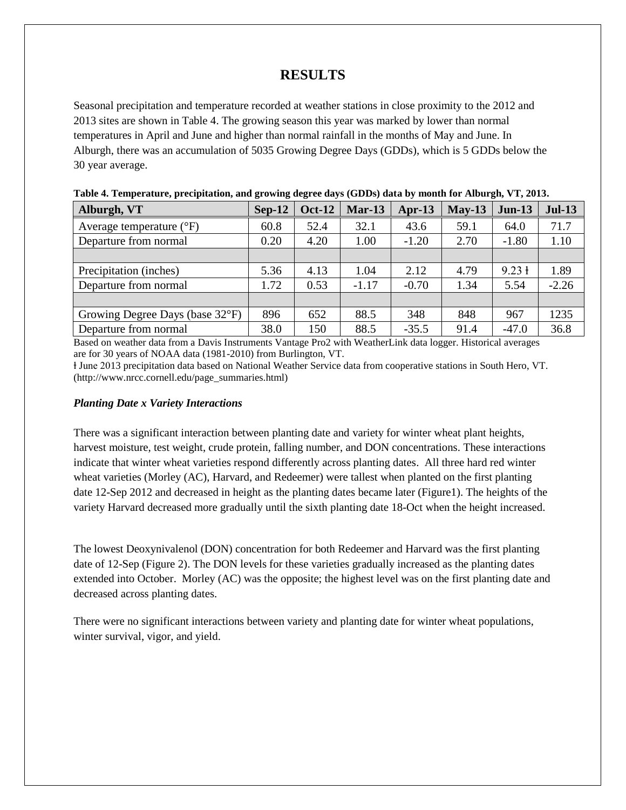# **RESULTS**

Seasonal precipitation and temperature recorded at weather stations in close proximity to the 2012 and 2013 sites are shown in Table 4. The growing season this year was marked by lower than normal temperatures in April and June and higher than normal rainfall in the months of May and June. In Alburgh, there was an accumulation of 5035 Growing Degree Days (GDDs), which is 5 GDDs below the 30 year average.

| Twore a Temperature, precipiunton, and growing acgree anyo (ODDs) and sy month for thour gay $\tau$ , $\tau$ , sole, |               |          |          |          |                   |          |
|----------------------------------------------------------------------------------------------------------------------|---------------|----------|----------|----------|-------------------|----------|
| $Sep-12$                                                                                                             | <b>Oct-12</b> | $Mar-13$ | $Apr-13$ | $May-13$ | $Jun-13$          | $Jul-13$ |
| 60.8                                                                                                                 | 52.4          | 32.1     | 43.6     | 59.1     | 64.0              | 71.7     |
| 0.20                                                                                                                 | 4.20          | 1.00     | $-1.20$  | 2.70     | $-1.80$           | 1.10     |
|                                                                                                                      |               |          |          |          |                   |          |
| 5.36                                                                                                                 | 4.13          | 1.04     | 2.12     | 4.79     | $9.23 \text{ }$ 1 | 1.89     |
| 1.72                                                                                                                 | 0.53          | $-1.17$  | $-0.70$  | 1.34     | 5.54              | $-2.26$  |
|                                                                                                                      |               |          |          |          |                   |          |
| 896                                                                                                                  | 652           | 88.5     | 348      | 848      | 967               | 1235     |
| 38.0                                                                                                                 | 150           | 88.5     | $-35.5$  | 91.4     | $-47.0$           | 36.8     |
|                                                                                                                      |               |          |          |          |                   |          |

**Table 4. Temperature, precipitation, and growing degree days (GDDs) data by month for Alburgh, VT, 2013.**

Based on weather data from a Davis Instruments Vantage Pro2 with WeatherLink data logger. Historical averages are for 30 years of NOAA data (1981-2010) from Burlington, VT.

ⱡ June 2013 precipitation data based on National Weather Service data from cooperative stations in South Hero, VT. (http://www.nrcc.cornell.edu/page\_summaries.html)

#### *Planting Date x Variety Interactions*

There was a significant interaction between planting date and variety for winter wheat plant heights, harvest moisture, test weight, crude protein, falling number, and DON concentrations. These interactions indicate that winter wheat varieties respond differently across planting dates. All three hard red winter wheat varieties (Morley (AC), Harvard, and Redeemer) were tallest when planted on the first planting date 12-Sep 2012 and decreased in height as the planting dates became later (Figure1). The heights of the variety Harvard decreased more gradually until the sixth planting date 18-Oct when the height increased.

The lowest Deoxynivalenol (DON) concentration for both Redeemer and Harvard was the first planting date of 12-Sep (Figure 2). The DON levels for these varieties gradually increased as the planting dates extended into October. Morley (AC) was the opposite; the highest level was on the first planting date and decreased across planting dates.

There were no significant interactions between variety and planting date for winter wheat populations, winter survival, vigor, and yield.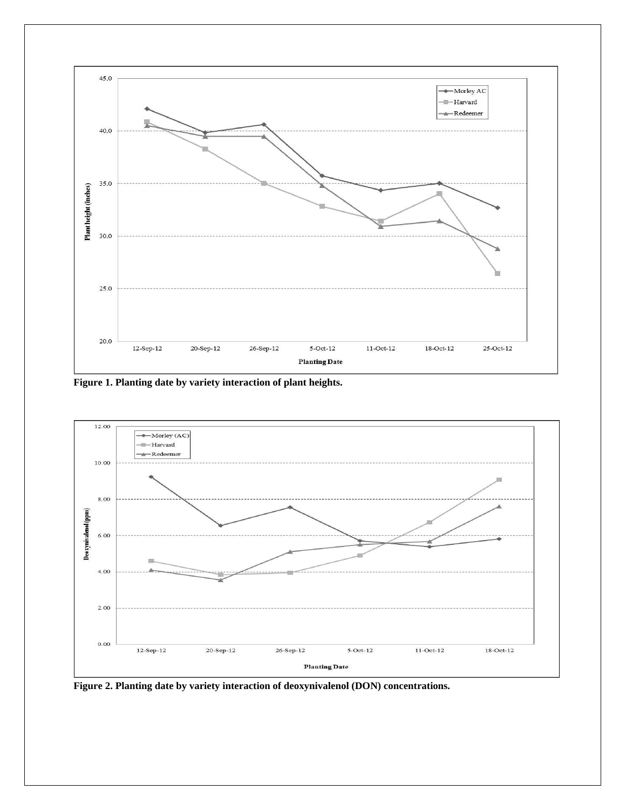

**Figure 1. Planting date by variety interaction of plant heights.**



**Figure 2. Planting date by variety interaction of deoxynivalenol (DON) concentrations.**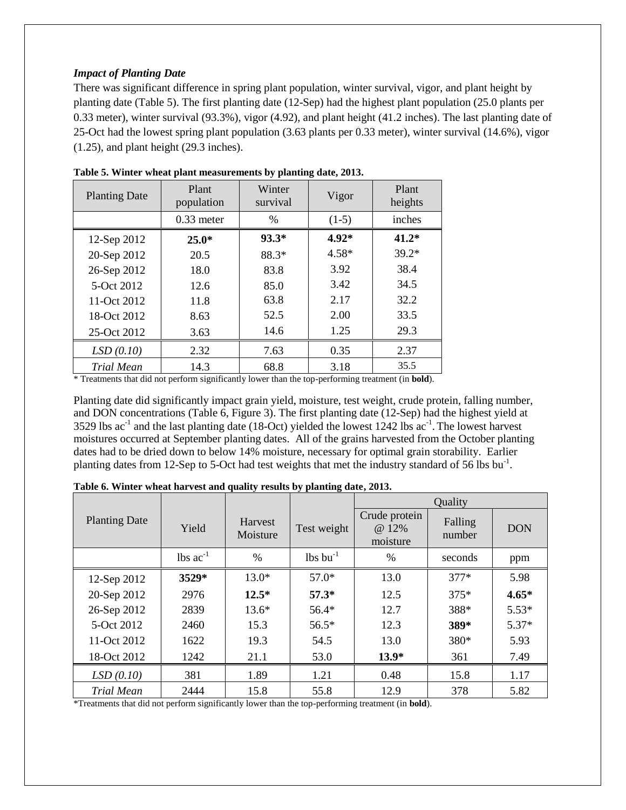#### *Impact of Planting Date*

There was significant difference in spring plant population, winter survival, vigor, and plant height by planting date (Table 5). The first planting date (12-Sep) had the highest plant population (25.0 plants per 0.33 meter), winter survival (93.3%), vigor (4.92), and plant height (41.2 inches). The last planting date of 25-Oct had the lowest spring plant population (3.63 plants per 0.33 meter), winter survival (14.6%), vigor (1.25), and plant height (29.3 inches).

| <b>Planting Date</b> | Plant<br>population | Winter<br>survival | Vigor   | Plant<br>heights |
|----------------------|---------------------|--------------------|---------|------------------|
|                      | $0.33$ meter        | $\frac{0}{0}$      | $(1-5)$ | inches           |
| 12-Sep 2012          | $25.0*$             | $93.3*$            | $4.92*$ | $41.2*$          |
| 20-Sep 2012          | 20.5                | 88.3*              | $4.58*$ | $39.2*$          |
| 26-Sep 2012          | 18.0                | 83.8               | 3.92    | 38.4             |
| 5-Oct 2012           | 12.6                | 85.0               | 3.42    | 34.5             |
| 11-Oct 2012          | 11.8                | 63.8               | 2.17    | 32.2             |
| 18-Oct 2012          | 8.63                | 52.5               | 2.00    | 33.5             |
| 25-Oct 2012          | 3.63                | 14.6               | 1.25    | 29.3             |
| LSD(0.10)            | 2.32                | 7.63               | 0.35    | 2.37             |
| Trial Mean           | 14.3                | 68.8               | 3.18    | 35.5             |

| Table 5. Winter wheat plant measurements by planting date, 2013. |  |  |
|------------------------------------------------------------------|--|--|
|------------------------------------------------------------------|--|--|

\* Treatments that did not perform significantly lower than the top-performing treatment (in **bold**).

Planting date did significantly impact grain yield, moisture, test weight, crude protein, falling number, and DON concentrations (Table 6, Figure 3). The first planting date (12-Sep) had the highest yield at 3529 lbs  $ac^{-1}$  and the last planting date (18-Oct) yielded the lowest 1242 lbs  $ac^{-1}$ . The lowest harvest moistures occurred at September planting dates. All of the grains harvested from the October planting dates had to be dried down to below 14% moisture, necessary for optimal grain storability. Earlier planting dates from 12-Sep to 5-Oct had test weights that met the industry standard of 56 lbs bu<sup>-1</sup>.

|                      |                               |                     |                        |                                    | Quality           |            |
|----------------------|-------------------------------|---------------------|------------------------|------------------------------------|-------------------|------------|
| <b>Planting Date</b> | Yield                         | Harvest<br>Moisture | Test weight            | Crude protein<br>@ 12%<br>moisture | Falling<br>number | <b>DON</b> |
|                      | $\text{lbs}$ ac <sup>-1</sup> | $\frac{0}{0}$       | $lbs$ bu <sup>-1</sup> | $\frac{0}{0}$                      | seconds           | ppm        |
| 12-Sep 2012          | 3529*                         | $13.0*$             | $57.0*$                | 13.0                               | $377*$            | 5.98       |
| 20-Sep 2012          | 2976                          | $12.5*$             | $57.3*$                | 12.5                               | $375*$            | $4.65*$    |
| 26-Sep 2012          | 2839                          | $13.6*$             | $56.4*$                | 12.7                               | 388*              | $5.53*$    |
| 5-Oct 2012           | 2460                          | 15.3                | $56.5*$                | 12.3                               | 389*              | $5.37*$    |
| 11-Oct 2012          | 1622                          | 19.3                | 54.5                   | 13.0                               | 380*              | 5.93       |
| 18-Oct 2012          | 1242                          | 21.1                | 53.0                   | $13.9*$                            | 361               | 7.49       |
| LSD(0.10)            | 381                           | 1.89                | 1.21                   | 0.48                               | 15.8              | 1.17       |
| Trial Mean           | 2444                          | 15.8                | 55.8                   | 12.9                               | 378               | 5.82       |

**Table 6. Winter wheat harvest and quality results by planting date, 2013.**

\*Treatments that did not perform significantly lower than the top-performing treatment (in **bold**).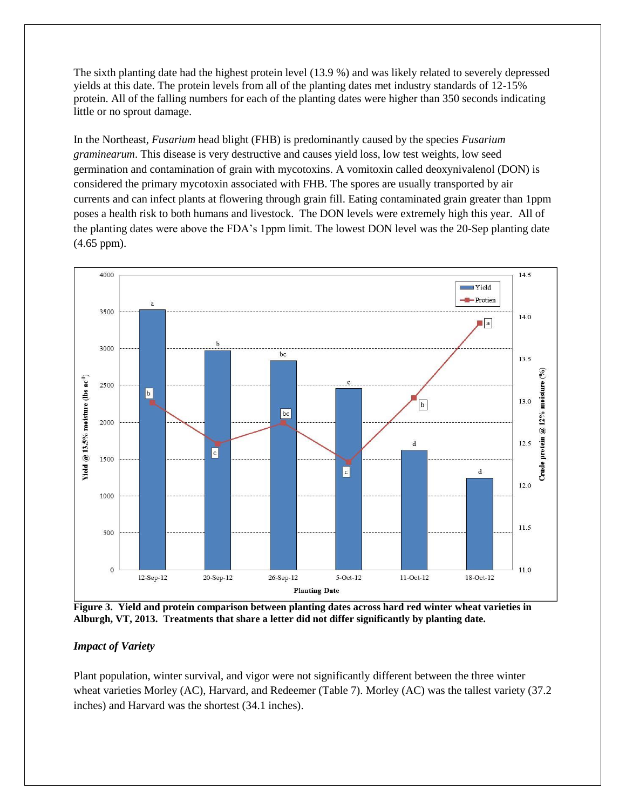The sixth planting date had the highest protein level (13.9 %) and was likely related to severely depressed yields at this date. The protein levels from all of the planting dates met industry standards of 12-15% protein. All of the falling numbers for each of the planting dates were higher than 350 seconds indicating little or no sprout damage.

In the Northeast, *Fusarium* head blight (FHB) is predominantly caused by the species *Fusarium graminearum*. This disease is very destructive and causes yield loss, low test weights, low seed germination and contamination of grain with mycotoxins. A vomitoxin called deoxynivalenol (DON) is considered the primary mycotoxin associated with FHB. The spores are usually transported by air currents and can infect plants at flowering through grain fill. Eating contaminated grain greater than 1ppm poses a health risk to both humans and livestock. The DON levels were extremely high this year. All of the planting dates were above the FDA's 1ppm limit. The lowest DON level was the 20-Sep planting date (4.65 ppm).



**Figure 3. Yield and protein comparison between planting dates across hard red winter wheat varieties in Alburgh, VT, 2013. Treatments that share a letter did not differ significantly by planting date.**

#### *Impact of Variety*

Plant population, winter survival, and vigor were not significantly different between the three winter wheat varieties Morley (AC), Harvard, and Redeemer (Table 7). Morley (AC) was the tallest variety (37.2 inches) and Harvard was the shortest (34.1 inches).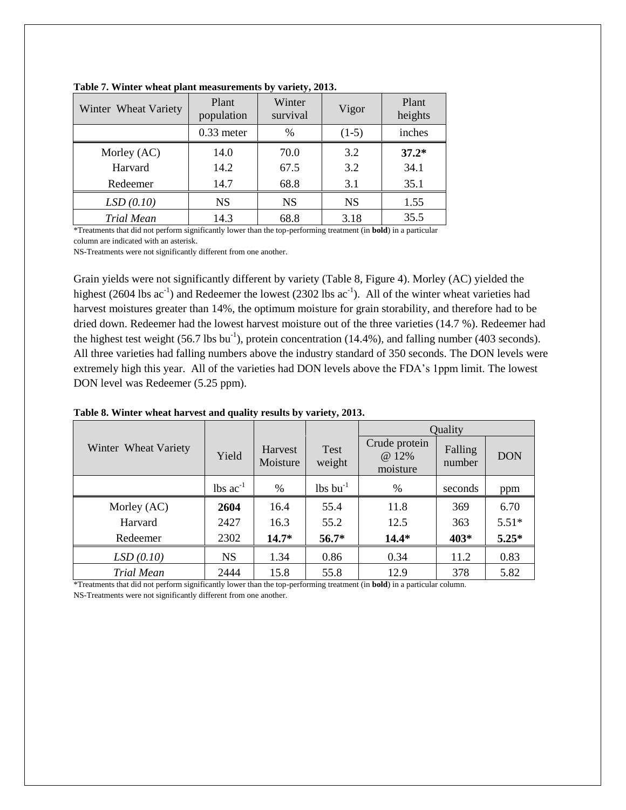| Winter Wheat Variety | Plant<br>population | Winter<br>survival | Vigor     | Plant<br>heights |
|----------------------|---------------------|--------------------|-----------|------------------|
|                      | $0.33$ meter        | $\%$               | $(1-5)$   | inches           |
| Morley (AC)          | 14.0                | 70.0               | 3.2       | $37.2*$          |
| Harvard              | 14.2                | 67.5               | 3.2       | 34.1             |
| Redeemer             | 14.7                | 68.8               | 3.1       | 35.1             |
| LSD(0.10)            | NS                  | <b>NS</b>          | <b>NS</b> | 1.55             |
| <b>Trial Mean</b>    | 14.3                | 68.8               | 3.18      | 35.5             |

**Table 7. Winter wheat plant measurements by variety, 2013.**

\*Treatments that did not perform significantly lower than the top-performing treatment (in **bold**) in a particular column are indicated with an asterisk.

NS-Treatments were not significantly different from one another.

Grain yields were not significantly different by variety (Table 8, Figure 4). Morley (AC) yielded the highest (2604 lbs  $ac^{-1}$ ) and Redeemer the lowest (2302 lbs  $ac^{-1}$ ). All of the winter wheat varieties had harvest moistures greater than 14%, the optimum moisture for grain storability, and therefore had to be dried down. Redeemer had the lowest harvest moisture out of the three varieties (14.7 %). Redeemer had the highest test weight (56.7 lbs bu<sup>-1</sup>), protein concentration (14.4%), and falling number (403 seconds). All three varieties had falling numbers above the industry standard of 350 seconds. The DON levels were extremely high this year. All of the varieties had DON levels above the FDA's 1ppm limit. The lowest DON level was Redeemer (5.25 ppm).

|                      |                               |                     |                        | Quality                            |                   |            |
|----------------------|-------------------------------|---------------------|------------------------|------------------------------------|-------------------|------------|
| Winter Wheat Variety | Yield                         | Harvest<br>Moisture | <b>Test</b><br>weight  | Crude protein<br>@ 12%<br>moisture | Falling<br>number | <b>DON</b> |
|                      | $\text{lbs}$ ac <sup>-1</sup> | $\%$                | $lbs$ bu <sup>-1</sup> | %                                  | seconds           | ppm        |
| Morley (AC)          | 2604                          | 16.4                | 55.4                   | 11.8                               | 369               | 6.70       |
| Harvard              | 2427                          | 16.3                | 55.2                   | 12.5                               | 363               | $5.51*$    |
| Redeemer             | 2302                          | $14.7*$             | $56.7*$                | $14.4*$                            | 403*              | $5.25*$    |
| LSD(0.10)            | <b>NS</b>                     | 1.34                | 0.86                   | 0.34                               | 11.2              | 0.83       |
| Trial Mean           | 2444                          | 15.8                | 55.8                   | 12.9                               | 378               | 5.82       |

**Table 8. Winter wheat harvest and quality results by variety, 2013.** 

\*Treatments that did not perform significantly lower than the top-performing treatment (in **bold**) in a particular column. NS-Treatments were not significantly different from one another.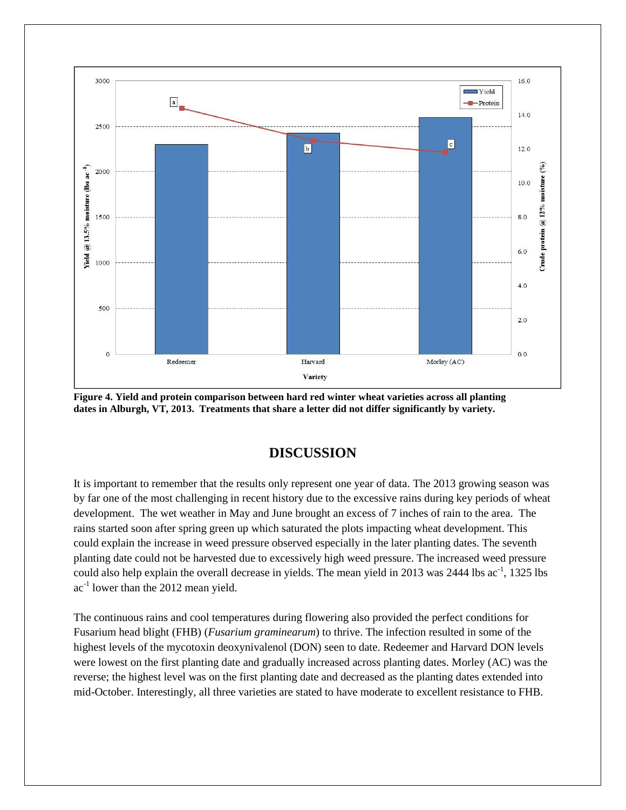

**Figure 4. Yield and protein comparison between hard red winter wheat varieties across all planting dates in Alburgh, VT, 2013. Treatments that share a letter did not differ significantly by variety.**

## **DISCUSSION**

It is important to remember that the results only represent one year of data. The 2013 growing season was by far one of the most challenging in recent history due to the excessive rains during key periods of wheat development. The wet weather in May and June brought an excess of 7 inches of rain to the area. The rains started soon after spring green up which saturated the plots impacting wheat development. This could explain the increase in weed pressure observed especially in the later planting dates. The seventh planting date could not be harvested due to excessively high weed pressure. The increased weed pressure could also help explain the overall decrease in yields. The mean yield in 2013 was 2444 lbs ac<sup>-1</sup>, 1325 lbs  $ac^{-1}$  lower than the 2012 mean yield.

The continuous rains and cool temperatures during flowering also provided the perfect conditions for Fusarium head blight (FHB) (*Fusarium graminearum*) to thrive. The infection resulted in some of the highest levels of the mycotoxin deoxynivalenol (DON) seen to date. Redeemer and Harvard DON levels were lowest on the first planting date and gradually increased across planting dates. Morley (AC) was the reverse; the highest level was on the first planting date and decreased as the planting dates extended into mid-October. Interestingly, all three varieties are stated to have moderate to excellent resistance to FHB.